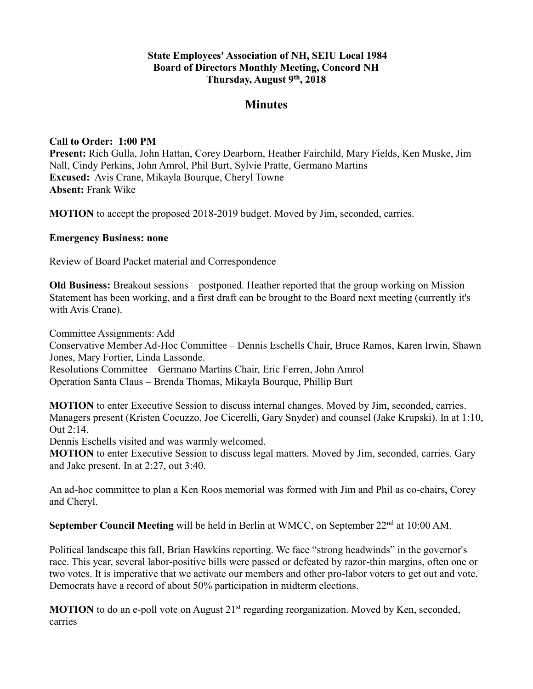### **State Employees' Association of NH, SEIU Local 1984 Board of Directors Monthly Meeting, Concord NH Thursday, August 9th, 2018**

# **Minutes**

#### **Call to Order: 1:00 PM**

**Present:** Rich Gulla, John Hattan, Corey Dearborn, Heather Fairchild, Mary Fields, Ken Muske, Jim Nall, Cindy Perkins, John Amrol, Phil Burt, Sylvie Pratte, Germano Martins **Excused:** Avis Crane, Mikayla Bourque, Cheryl Towne **Absent:** Frank Wike

**MOTION** to accept the proposed 2018-2019 budget. Moved by Jim, seconded, carries.

#### **Emergency Business: none**

Review of Board Packet material and Correspondence

**Old Business:** Breakout sessions – postponed. Heather reported that the group working on Mission Statement has been working, and a first draft can be brought to the Board next meeting (currently it's with Avis Crane).

Committee Assignments: Add

Conservative Member Ad-Hoc Committee – Dennis Eschells Chair, Bruce Ramos, Karen Irwin, Shawn Jones, Mary Fortier, Linda Lassonde.

Resolutions Committee – Germano Martins Chair, Eric Ferren, John Amrol

Operation Santa Claus – Brenda Thomas, Mikayla Bourque, Phillip Burt

**MOTION** to enter Executive Session to discuss internal changes. Moved by Jim, seconded, carries. Managers present (Kristen Cocuzzo, Joe Cicerelli, Gary Snyder) and counsel (Jake Krupski). In at 1:10, Out 2:14.

Dennis Eschells visited and was warmly welcomed.

**MOTION** to enter Executive Session to discuss legal matters. Moved by Jim, seconded, carries. Gary and Jake present. In at 2:27, out 3:40.

An ad-hoc committee to plan a Ken Roos memorial was formed with Jim and Phil as co-chairs, Corey and Cheryl.

**September Council Meeting** will be held in Berlin at WMCC, on September 22<sup>nd</sup> at 10:00 AM.

Political landscape this fall, Brian Hawkins reporting. We face "strong headwinds" in the governor's race. This year, several labor-positive bills were passed or defeated by razor-thin margins, often one or two votes. It is imperative that we activate our members and other pro-labor voters to get out and vote. Democrats have a record of about 50% participation in midterm elections.

**MOTION** to do an e-poll vote on August 21<sup>st</sup> regarding reorganization. Moved by Ken, seconded, carries